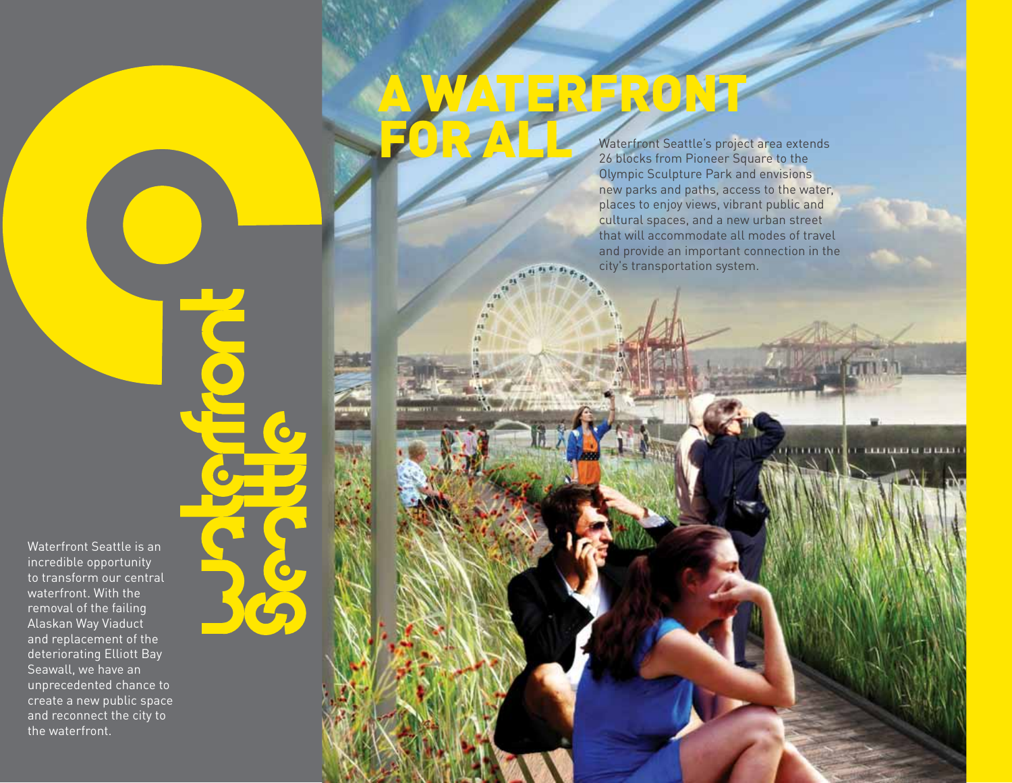Waterfront Seattle is an incredible opportunity to transform our central waterfront. With the removal of the failing Alaskan Way Viaduct and replacement of the deteriorating Elliott Bay Seawall, we have an unprecedented chance to create a new public space and reconnect the city to the waterfront.

# WATERERON<sup>T</sup> for All

Waterfront Seattle's project area extends 26 blocks from Pioneer Square to the Olympic Sculpture Park and envisions new parks and paths, access to the water, places to enjoy views, vibrant public and cultural spaces, and a new urban street that will accommodate all modes of travel and provide an important connection in the city's transportation system.

**TELEVISION OF CLOSE**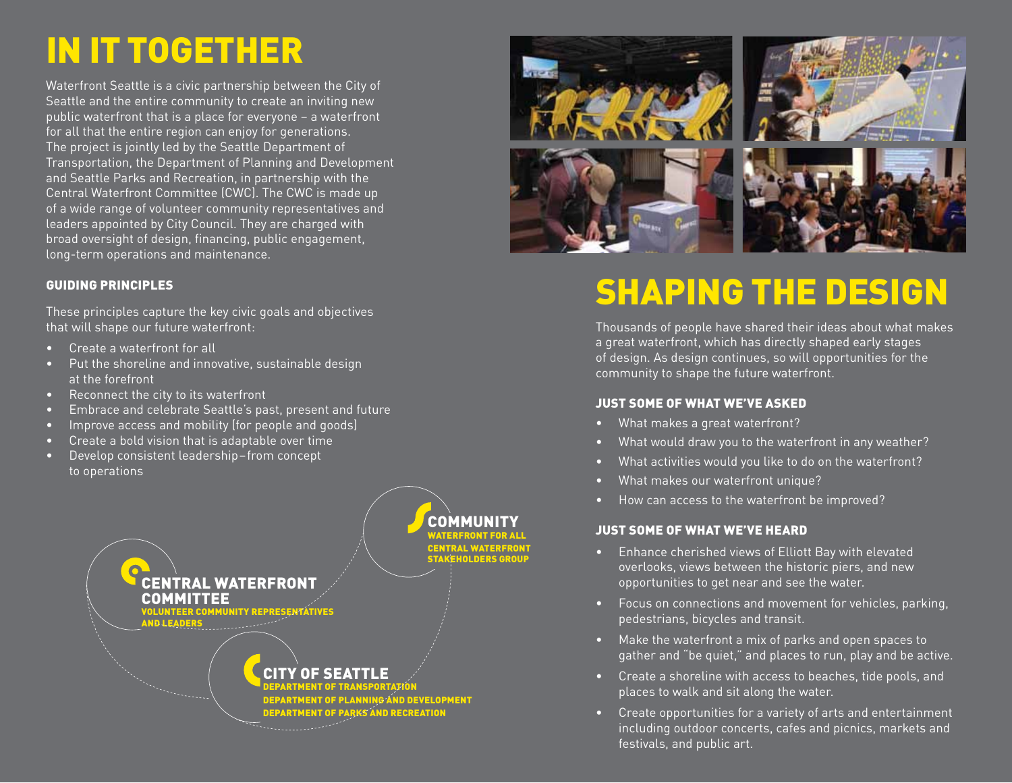## in it together

Waterfront Seattle is a civic partnership between the City of Seattle and the entire community to create an inviting new public waterfront that is a place for everyone – a waterfront for all that the entire region can enjoy for generations. The project is jointly led by the Seattle Department of Transportation, the Department of Planning and Development and Seattle Parks and Recreation, in partnership with the Central Waterfront Committee (CWC). The CWC is made up of a wide range of volunteer community representatives and leaders appointed by City Council. They are charged with broad oversight of design, financing, public engagement, long-term operations and maintenance.

#### Guiding Principles

These principles capture the key civic goals and objectives that will shape our future waterfront:

- • Create a waterfront for all
- Put the shoreline and innovative, sustainable design at the forefront
- • Reconnect the city to its waterfront
- • Embrace and celebrate Seattle's past, present and future
- • Improve access and mobility (for people and goods)
- • Create a bold vision that is adaptable over time
- • Develop consistent leadership–from concept to operations





# **SHAPING THE DESIGN**

Thousands of people have shared their ideas about what makes a great waterfront, which has directly shaped early stages of design. As design continues, so will opportunities for the community to shape the future waterfront.

#### Just some of What we've asked

- • What makes a great waterfront?
- What would draw you to the waterfront in any weather?
- What activities would you like to do on the waterfront?
- • What makes our waterfront unique?
- How can access to the waterfront be improved?

#### Just some of What we've heard

- • Enhance cherished views of Elliott Bay with elevated overlooks, views between the historic piers, and new opportunities to get near and see the water.
- • Focus on connections and movement for vehicles, parking, pedestrians, bicycles and transit.
- • Make the waterfront a mix of parks and open spaces to gather and "be quiet," and places to run, play and be active.
- Create a shoreline with access to beaches, tide pools, and places to walk and sit along the water.
- • Create opportunities for a variety of arts and entertainment including outdoor concerts, cafes and picnics, markets and festivals, and public art.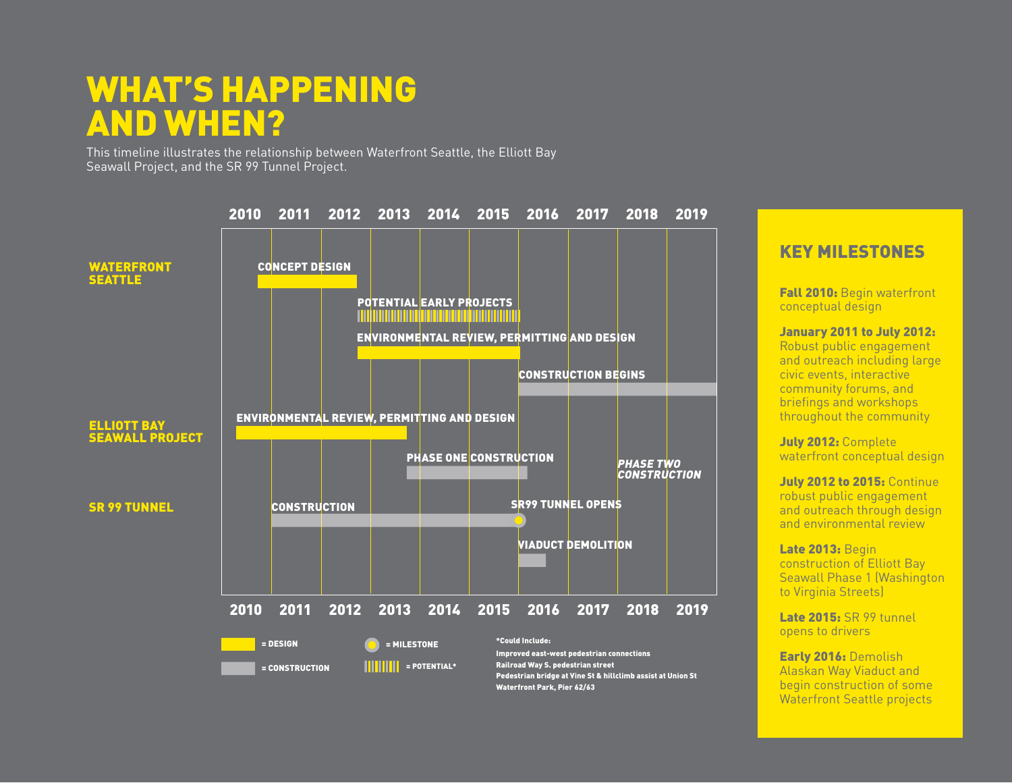## what's happening and when?

This timeline illustrates the relationship between Waterfront Seattle, the Elliott Bay Seawall Project, and the SR 99 Tunnel Project.



### KEY MILESTONES

Fall 2010: Begin waterfront conceptual design

January 2011 to July 2012:

Robust public engagement and outreach including large civic events, interactive community forums, and briefings and workshops throughout the community

July 2012: Complete waterfront conceptual design

**July 2012 to 2015: Continue** robust public engagement and outreach through design and environmental review

Late 2013: Begin construction of Elliott Bay Seawall Phase 1 (Washington to Virginia Streets)

Late 2015: SR 99 tunnel opens to drivers

Early 2016: Demolish Alaskan Way Viaduct and begin construction of some Waterfront Seattle projects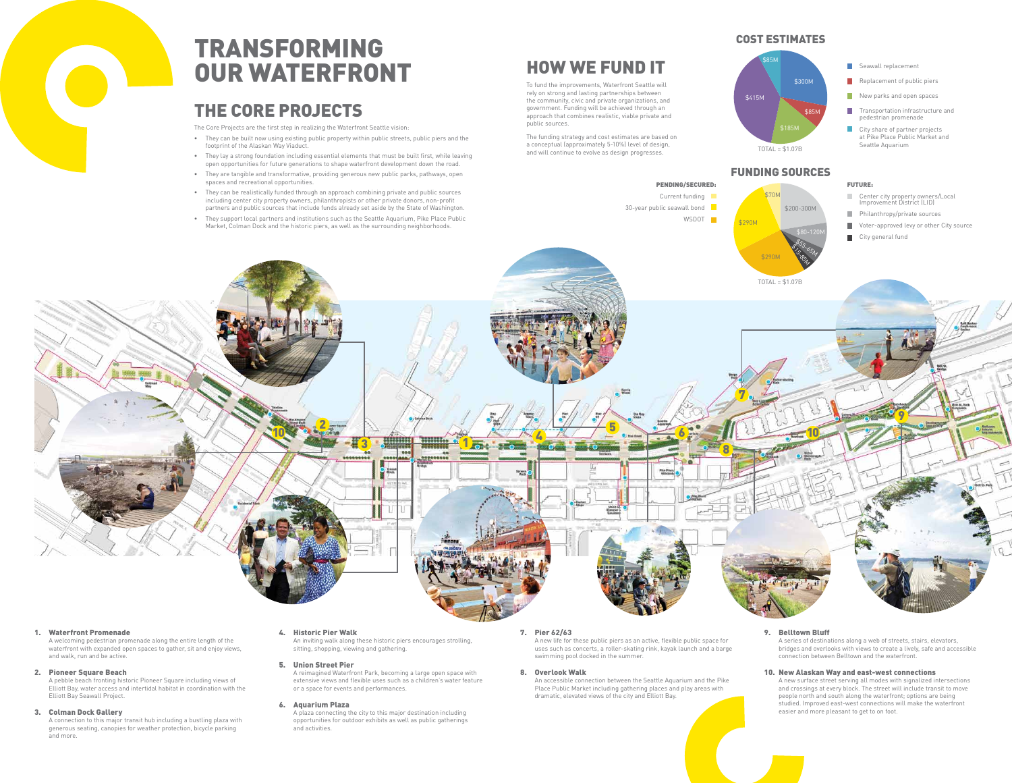public sources.

### 1. Waterfront Promenade

A welcoming pedestrian promenade along the entire length of the waterfront with expanded open spaces to gather, sit and enjoy views, and walk, run and be active.

### 2. Pioneer Square Beach

A pebble beach fronting historic Pioneer Square including views of Elliott Bay, water access and intertidal habitat in coordination with the Elliott Bay Seawall Project.

### 3. Colman Dock Gallery

A connection to this major transit hub including a bustling plaza with generous seating, canopies for weather protection, bicycle parking and more.

### 4. Historic Pier Walk

An inviting walk along these historic piers encourages strolling, sitting, shopping, viewing and gathering.

#### 5. Union Street Pier

A reimagined Waterfront Park, becoming a large open space with extensive views and flexible uses such as a children's water feature or a space for events and performances.

#### 6. Aquarium Plaza

A plaza connecting the city to this major destination including opportunities for outdoor exhibits as well as public gatherings and activities.

## 7. Pier 62/63

A new life for these public piers as an active, flexible public space for uses such as concerts, a roller-skating rink, kayak launch and a barge swimming pool docked in the summer.

8. Overlook Walk

An accessible connection between the Seattle Aquarium and the Pike Place Public Market including gathering places and play areas with dramatic, elevated views of the city and Elliott Bay.

### 9. Belltown Bluff

A series of destinations along a web of streets, stairs, elevators, bridges and overlooks with views to create a lively, safe and accessible connection between Belltown and the waterfront.

#### 10. New Alaskan Way and east-west connections

A new surface street serving all modes with signalized intersections and crossings at every block. The street will include transit to move people north and south along the waterfront; options are being studied. Improved east-west connections will make the waterfront easier and more pleasant to get to on foot.

- footprint of the Alaskan Way Viaduct.
- open opportunities for future generations to shape waterfront development down the road.
- spaces and recreational opportunities.
- including center city property owners, philanthropists or other private donors, non-profit
- Market, Colman Dock and the historic piers, as well as the surrounding neighborhoods.